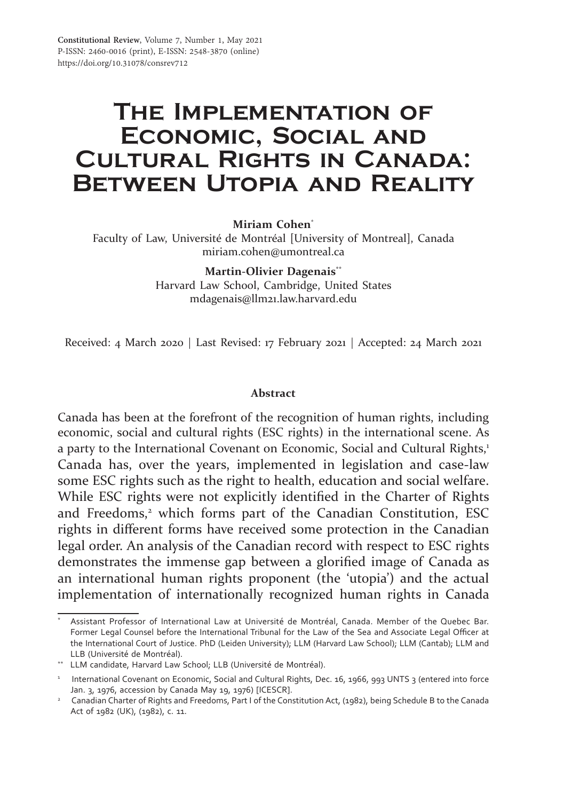# **The Implementation of Economic, Social and Cultural Rights in Canada: Between Utopia and Reality**

**Miriam Cohen**\*

Faculty of Law, Université de Montréal [University of Montreal], Canada miriam.cohen@umontreal.ca

> **Martin-Olivier Dagenais\*\*** Harvard Law School, Cambridge, United States mdagenais@llm21.law.harvard.edu

Received: 4 March 2020 | Last Revised: 17 February 2021 | Accepted: 24 March 2021

#### **Abstract**

Canada has been at the forefront of the recognition of human rights, including economic, social and cultural rights (ESC rights) in the international scene. As a party to the International Covenant on Economic, Social and Cultural Rights,<sup>1</sup> Canada has, over the years, implemented in legislation and case-law some ESC rights such as the right to health, education and social welfare. While ESC rights were not explicitly identified in the Charter of Rights and Freedoms,<sup>2</sup> which forms part of the Canadian Constitution, ESC rights in different forms have received some protection in the Canadian legal order. An analysis of the Canadian record with respect to ESC rights demonstrates the immense gap between a glorified image of Canada as an international human rights proponent (the 'utopia') and the actual implementation of internationally recognized human rights in Canada

Assistant Professor of International Law at Université de Montréal, Canada. Member of the Quebec Bar. Former Legal Counsel before the International Tribunal for the Law of the Sea and Associate Legal Officer at the International Court of Justice. PhD (Leiden University); LLM (Harvard Law School); LLM (Cantab); LLM and LLB (Université de Montréal).

<sup>\*\*</sup> LLM candidate, Harvard Law School; LLB (Université de Montréal).

<sup>&</sup>lt;sup>1</sup> International Covenant on Economic, Social and Cultural Rights, Dec. 16, 1966, 993 UNTS 3 (entered into force Jan. 3, 1976, accession by Canada May 19, 1976) [ICESCR].

<sup>&</sup>lt;sup>2</sup> Canadian Charter of Rights and Freedoms, Part I of the Constitution Act, (1982), being Schedule B to the Canada Act of 1982 (UK), (1982), c. 11.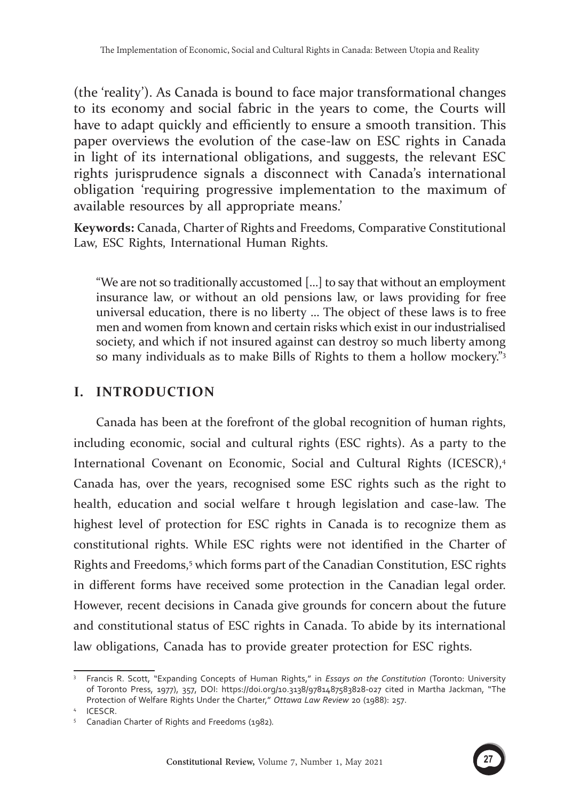(the 'reality'). As Canada is bound to face major transformational changes to its economy and social fabric in the years to come, the Courts will have to adapt quickly and efficiently to ensure a smooth transition. This paper overviews the evolution of the case-law on ESC rights in Canada in light of its international obligations, and suggests, the relevant ESC rights jurisprudence signals a disconnect with Canada's international obligation 'requiring progressive implementation to the maximum of available resources by all appropriate means.'

**Keywords:** Canada, Charter of Rights and Freedoms, Comparative Constitutional Law, ESC Rights, International Human Rights.

"We are not so traditionally accustomed […] to say that without an employment insurance law, or without an old pensions law, or laws providing for free universal education, there is no liberty … The object of these laws is to free men and women from known and certain risks which exist in our industrialised society, and which if not insured against can destroy so much liberty among so many individuals as to make Bills of Rights to them a hollow mockery."3

# **I. INTRODUCTION**

Canada has been at the forefront of the global recognition of human rights, including economic, social and cultural rights (ESC rights). As a party to the International Covenant on Economic, Social and Cultural Rights (ICESCR),<sup>4</sup> Canada has, over the years, recognised some ESC rights such as the right to health, education and social welfare t hrough legislation and case-law. The highest level of protection for ESC rights in Canada is to recognize them as constitutional rights. While ESC rights were not identified in the Charter of Rights and Freedoms,<sup>5</sup> which forms part of the Canadian Constitution, ESC rights in different forms have received some protection in the Canadian legal order. However, recent decisions in Canada give grounds for concern about the future and constitutional status of ESC rights in Canada. To abide by its international law obligations, Canada has to provide greater protection for ESC rights.



<sup>3</sup> Francis R. Scott, "Expanding Concepts of Human Rights," in *Essays on the Constitution* (Toronto: University of Toronto Press, 1977), 357, DOI: https://doi.org/10.3138/9781487583828-027 cited in Martha Jackman, "The Protection of Welfare Rights Under the Charter," *Ottawa Law Review*<sup>20</sup> (1988): 257. 4 ICESCR.

<sup>5</sup> Canadian Charter of Rights and Freedoms (1982)*.*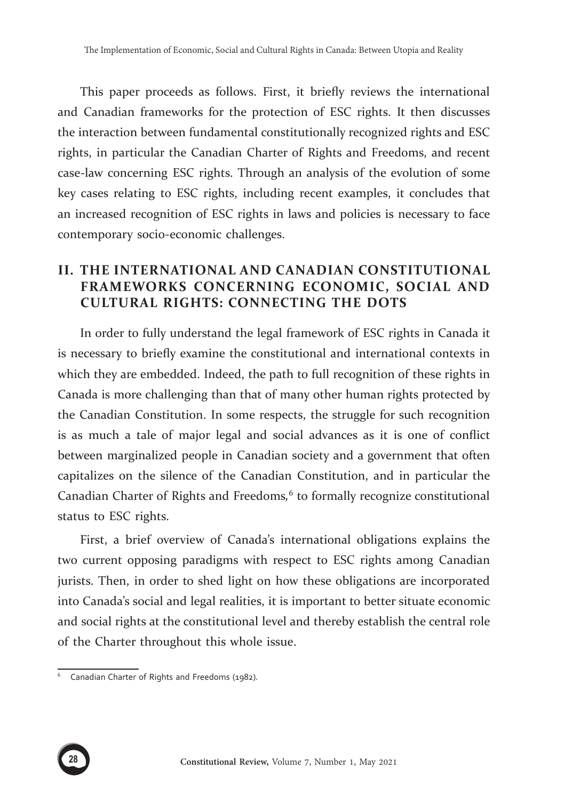This paper proceeds as follows. First, it briefly reviews the international and Canadian frameworks for the protection of ESC rights. It then discusses the interaction between fundamental constitutionally recognized rights and ESC rights, in particular the Canadian Charter of Rights and Freedoms, and recent case-law concerning ESC rights. Through an analysis of the evolution of some key cases relating to ESC rights, including recent examples, it concludes that an increased recognition of ESC rights in laws and policies is necessary to face contemporary socio-economic challenges.

# **II. THE INTERNATIONAL AND CANADIAN CONSTITUTIONAL FRAMEWORKS CONCERNING ECONOMIC, SOCIAL AND CULTURAL RIGHTS: CONNECTING THE DOTS**

In order to fully understand the legal framework of ESC rights in Canada it is necessary to briefly examine the constitutional and international contexts in which they are embedded. Indeed, the path to full recognition of these rights in Canada is more challenging than that of many other human rights protected by the Canadian Constitution. In some respects, the struggle for such recognition is as much a tale of major legal and social advances as it is one of conflict between marginalized people in Canadian society and a government that often capitalizes on the silence of the Canadian Constitution, and in particular the Canadian Charter of Rights and Freedoms*,* 6 to formally recognize constitutional status to ESC rights.

First, a brief overview of Canada's international obligations explains the two current opposing paradigms with respect to ESC rights among Canadian jurists. Then, in order to shed light on how these obligations are incorporated into Canada's social and legal realities, it is important to better situate economic and social rights at the constitutional level and thereby establish the central role of the Charter throughout this whole issue.



<sup>6</sup> Canadian Charter of Rights and Freedoms (1982)*.*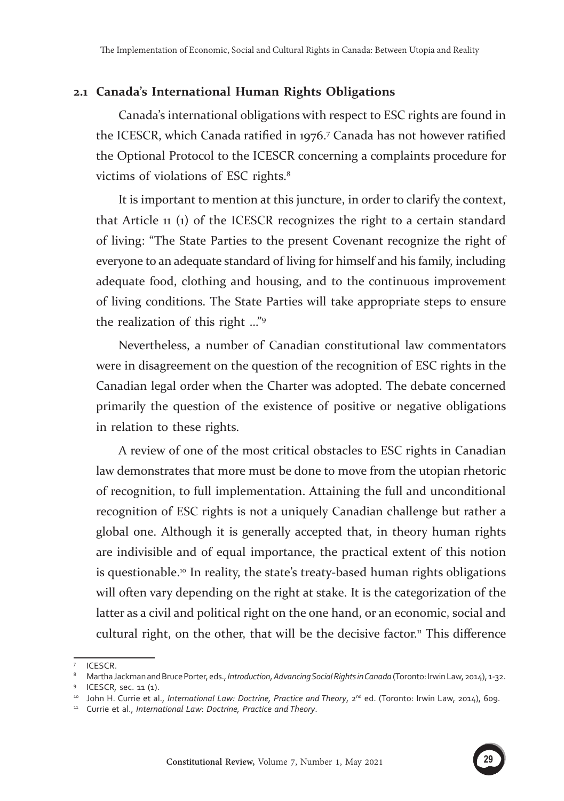#### **2.1 Canada's International Human Rights Obligations**

Canada's international obligations with respect to ESC rights are found in the ICESCR, which Canada ratified in 1976.<sup>7</sup> Canada has not however ratified the Optional Protocol to the ICESCR concerning a complaints procedure for victims of violations of ESC rights.<sup>8</sup>

It is important to mention at this juncture, in order to clarify the context, that Article 11 (1) of the ICESCR recognizes the right to a certain standard of living: "The State Parties to the present Covenant recognize the right of everyone to an adequate standard of living for himself and his family, including adequate food, clothing and housing, and to the continuous improvement of living conditions. The State Parties will take appropriate steps to ensure the realization of this right …"<sup>9</sup>

Nevertheless, a number of Canadian constitutional law commentators were in disagreement on the question of the recognition of ESC rights in the Canadian legal order when the Charter was adopted. The debate concerned primarily the question of the existence of positive or negative obligations in relation to these rights.

A review of one of the most critical obstacles to ESC rights in Canadian law demonstrates that more must be done to move from the utopian rhetoric of recognition, to full implementation. Attaining the full and unconditional recognition of ESC rights is not a uniquely Canadian challenge but rather a global one. Although it is generally accepted that, in theory human rights are indivisible and of equal importance, the practical extent of this notion is questionable.<sup>10</sup> In reality, the state's treaty-based human rights obligations will often vary depending on the right at stake. It is the categorization of the latter as a civil and political right on the one hand, or an economic, social and cultural right, on the other, that will be the decisive factor.<sup>11</sup> This difference

<sup>7</sup> ICESCR.

<sup>8</sup> Martha Jackman and Bruce Porter, eds., *Introduction*, *Advancing Social Rights in Canada* (Toronto: Irwin Law, 2014), 1-32.

<sup>&</sup>lt;sup>9</sup> ICESCR, sec. 11 (1).<br><sup>10</sup> John H. Currie et al., *International Law: Doctrine, Practice and Theory*, 2<sup>nd</sup> ed. (Toronto: Irwin Law, 2014), 609.

<sup>11</sup> Currie et al., *International Law*: *Doctrine, Practice and Theory*.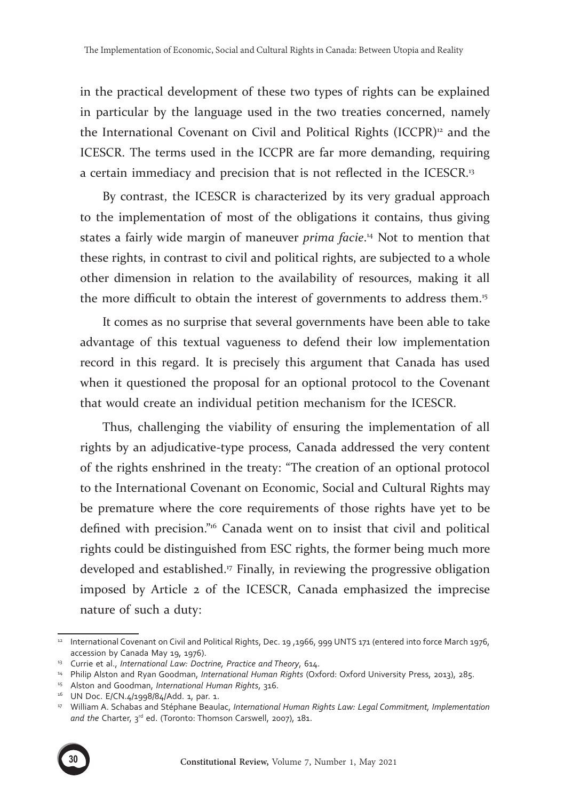in the practical development of these two types of rights can be explained in particular by the language used in the two treaties concerned, namely the International Covenant on Civil and Political Rights (ICCPR)12 and the ICESCR. The terms used in the ICCPR are far more demanding, requiring a certain immediacy and precision that is not reflected in the ICESCR.<sup>13</sup>

By contrast, the ICESCR is characterized by its very gradual approach to the implementation of most of the obligations it contains, thus giving states a fairly wide margin of maneuver *prima facie*. 14 Not to mention that these rights, in contrast to civil and political rights, are subjected to a whole other dimension in relation to the availability of resources, making it all the more difficult to obtain the interest of governments to address them.<sup>15</sup>

It comes as no surprise that several governments have been able to take advantage of this textual vagueness to defend their low implementation record in this regard. It is precisely this argument that Canada has used when it questioned the proposal for an optional protocol to the Covenant that would create an individual petition mechanism for the ICESCR.

Thus, challenging the viability of ensuring the implementation of all rights by an adjudicative-type process, Canada addressed the very content of the rights enshrined in the treaty: "The creation of an optional protocol to the International Covenant on Economic, Social and Cultural Rights may be premature where the core requirements of those rights have yet to be defined with precision."16 Canada went on to insist that civil and political rights could be distinguished from ESC rights, the former being much more developed and established.<sup>17</sup> Finally, in reviewing the progressive obligation imposed by Article 2 of the ICESCR, Canada emphasized the imprecise nature of such a duty:

<sup>17</sup> William A. Schabas and Stéphane Beaulac, *International Human Rights Law: Legal Commitment, Implementation*  and the Charter, 3<sup>rd</sup> ed. (Toronto: Thomson Carswell, 2007), 181.



<sup>12</sup> International Covenant on Civil and Political Rights, Dec. 19 ,1966, 999 UNTS 171 (entered into force March 1976, accession by Canada May 19, 1976).<br><sup>13</sup> Currie et al., *International Law: Doctrine, Practice and Theory*, 614.<br><sup>14</sup> Philip Alston and Ryan Goodman, *International Human Rights* (Oxford: Oxford University Press, 2013), 285

<sup>16</sup> UN Doc. E/CN.4/1998/84/Add. 1, par. 1.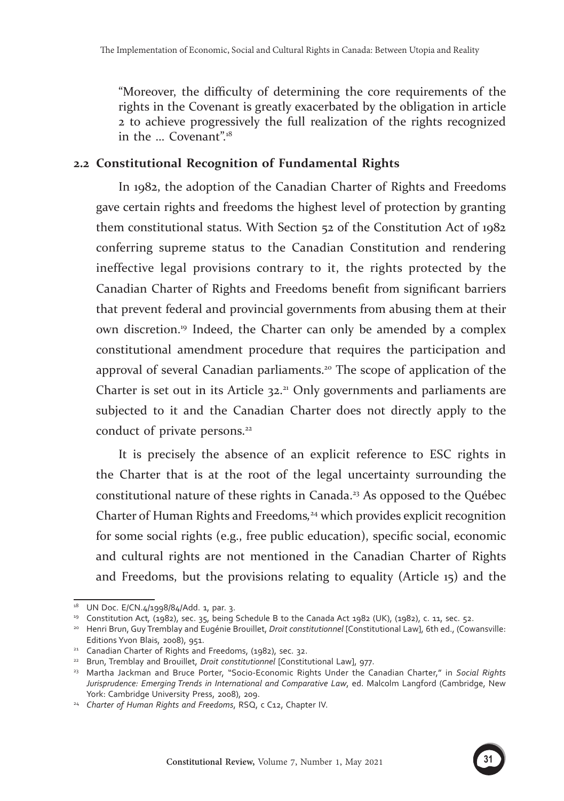"Moreover, the difficulty of determining the core requirements of the rights in the Covenant is greatly exacerbated by the obligation in article 2 to achieve progressively the full realization of the rights recognized in the ... Covenant".<sup>18</sup>

#### **2.2 Constitutional Recognition of Fundamental Rights**

In 1982, the adoption of the Canadian Charter of Rights and Freedoms gave certain rights and freedoms the highest level of protection by granting them constitutional status. With Section 52 of the Constitution Act of 1982 conferring supreme status to the Canadian Constitution and rendering ineffective legal provisions contrary to it, the rights protected by the Canadian Charter of Rights and Freedoms benefit from significant barriers that prevent federal and provincial governments from abusing them at their own discretion.19 Indeed, the Charter can only be amended by a complex constitutional amendment procedure that requires the participation and approval of several Canadian parliaments.<sup>20</sup> The scope of application of the Charter is set out in its Article  $32<sup>21</sup>$  Only governments and parliaments are subjected to it and the Canadian Charter does not directly apply to the conduct of private persons.<sup>22</sup>

It is precisely the absence of an explicit reference to ESC rights in the Charter that is at the root of the legal uncertainty surrounding the constitutional nature of these rights in Canada.<sup>23</sup> As opposed to the Québec Charter of Human Rights and Freedoms*,* <sup>24</sup> which provides explicit recognition for some social rights (e.g., free public education), specific social, economic and cultural rights are not mentioned in the Canadian Charter of Rights and Freedoms, but the provisions relating to equality (Article 15) and the



<sup>&</sup>lt;sup>18</sup> UN Doc. E/CN.4/1998/84/Add. 1, par. 3.<br><sup>19</sup> Constitution Act, (1982), sec. 35, being Schedule B to the Canada Act 1982 (UK), (1982), c. 11, sec. 52.<br><sup>20</sup> Henri Brun, Guy Tremblay and Eugénie Brouillet, *Droit constitu* 

Editions Yvon Blais, 2008), 951.

<sup>&</sup>lt;sup>21</sup> Canadian Charter of Rights and Freedoms, (1982), sec. 32.<br><sup>22</sup> Brun, Tremblay and Brouillet, *Droit constitutionnel* [Constitutional Law], 977.

<sup>23</sup> Martha Jackman and Bruce Porter, "Socio-Economic Rights Under the Canadian Charter," in *Social Rights Jurisprudence: Emerging Trends in International and Comparative Law*, ed. Malcolm Langford (Cambridge, New York: Cambridge University Press, 2008), 209. 24 *Charter of Human Rights and Freedoms*, RSQ, c C12, Chapter IV.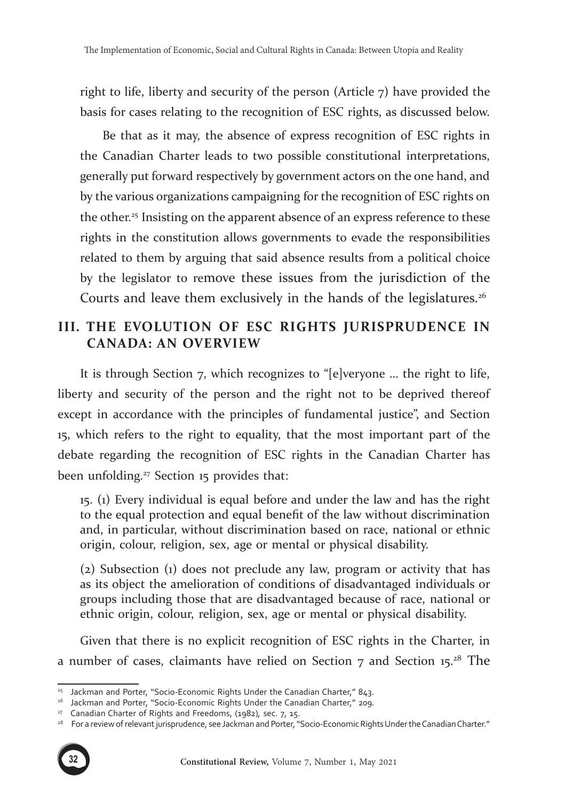right to life, liberty and security of the person (Article 7) have provided the basis for cases relating to the recognition of ESC rights, as discussed below.

Be that as it may, the absence of express recognition of ESC rights in the Canadian Charter leads to two possible constitutional interpretations, generally put forward respectively by government actors on the one hand, and by the various organizations campaigning for the recognition of ESC rights on the other.<sup>25</sup> Insisting on the apparent absence of an express reference to these rights in the constitution allows governments to evade the responsibilities related to them by arguing that said absence results from a political choice by the legislator to remove these issues from the jurisdiction of the Courts and leave them exclusively in the hands of the legislatures.<sup>26</sup>

## **III. THE EVOLUTION OF ESC RIGHTS JURISPRUDENCE IN CANADA: AN OVERVIEW**

It is through Section 7, which recognizes to "[e]veryone … the right to life, liberty and security of the person and the right not to be deprived thereof except in accordance with the principles of fundamental justice", and Section 15, which refers to the right to equality, that the most important part of the debate regarding the recognition of ESC rights in the Canadian Charter has been unfolding.27 Section 15 provides that:

15. (1) Every individual is equal before and under the law and has the right to the equal protection and equal benefit of the law without discrimination and, in particular, without discrimination based on race, national or ethnic origin, colour, religion, sex, age or mental or physical disability.

(2) Subsection (1) does not preclude any law, program or activity that has as its object the amelioration of conditions of disadvantaged individuals or groups including those that are disadvantaged because of race, national or ethnic origin, colour, religion, sex, age or mental or physical disability.

Given that there is no explicit recognition of ESC rights in the Charter, in a number of cases, claimants have relied on Section 7 and Section 15.28 The

<sup>&</sup>lt;sup>27</sup> Canadian Charter of Rights and Freedoms, (1982), sec. 7, 15.<br><sup>28</sup> For a review of relevant jurisprudence, see Jackman and Porter, "Socio-Economic Rights Under the Canadian Charter."



<sup>&</sup>lt;sup>25</sup> Jackman and Porter, "Socio-Economic Rights Under the Canadian Charter," 843.<br><sup>26</sup> Jackman and Porter, "Socio-Economic Rights Under the Canadian Charter." 209.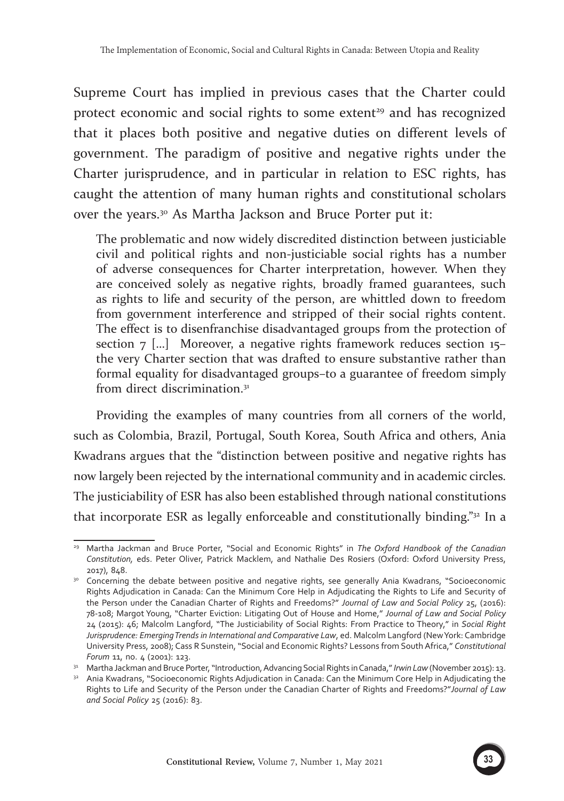Supreme Court has implied in previous cases that the Charter could protect economic and social rights to some extent<sup>29</sup> and has recognized that it places both positive and negative duties on different levels of government. The paradigm of positive and negative rights under the Charter jurisprudence, and in particular in relation to ESC rights, has caught the attention of many human rights and constitutional scholars over the years.30 As Martha Jackson and Bruce Porter put it:

The problematic and now widely discredited distinction between justiciable civil and political rights and non-justiciable social rights has a number of adverse consequences for Charter interpretation, however. When they are conceived solely as negative rights, broadly framed guarantees, such as rights to life and security of the person, are whittled down to freedom from government interference and stripped of their social rights content. The effect is to disenfranchise disadvantaged groups from the protection of section 7 […] Moreover, a negative rights framework reduces section 15– the very Charter section that was drafted to ensure substantive rather than formal equality for disadvantaged groups–to a guarantee of freedom simply from direct discrimination.<sup>31</sup>

Providing the examples of many countries from all corners of the world, such as Colombia, Brazil, Portugal, South Korea, South Africa and others, Ania Kwadrans argues that the "distinction between positive and negative rights has now largely been rejected by the international community and in academic circles. The justiciability of ESR has also been established through national constitutions that incorporate ESR as legally enforceable and constitutionally binding." $32 \text{ In a}$ 



<sup>29</sup> Martha Jackman and Bruce Porter, "Social and Economic Rights" in *The Oxford Handbook of the Canadian Constitution,* eds. Peter Oliver, Patrick Macklem, and Nathalie Des Rosiers (Oxford: Oxford University Press,

<sup>2017), 848. 30</sup> Concerning the debate between positive and negative rights, see generally Ania Kwadrans, "Socioeconomic Rights Adjudication in Canada: Can the Minimum Core Help in Adjudicating the Rights to Life and Security of the Person under the Canadian Charter of Rights and Freedoms?" *Journal of Law and Social Policy* 25, (2016): 78-108; Margot Young, "Charter Eviction: Litigating Out of House and Home," *Journal of Law and Social Policy* 24 (2015): 46; Malcolm Langford, "The Justiciability of Social Rights: From Practice to Theory," in *Social Right Jurisprudence: Emerging Trends in International and Comparative Law*, ed. Malcolm Langford (New York: Cambridge University Press, 2008); Cass R Sunstein, "Social and Economic Rights? Lessons from South Africa," *Constitutional Forum* 11, no. 4 (2001): 123.

<sup>&</sup>lt;sup>31</sup> Martha Jackman and Bruce Porter, "Introduction, Advancing Social Rights in Canada," *Irwin Law* (November 2015): 13.

<sup>&</sup>lt;sup>32</sup> Ania Kwadrans, "Socioeconomic Rights Adjudication in Canada: Can the Minimum Core Help in Adjudicating the Rights to Life and Security of the Person under the Canadian Charter of Rights and Freedoms?"*Journal of Law and Social Policy* 25 (2016): 83.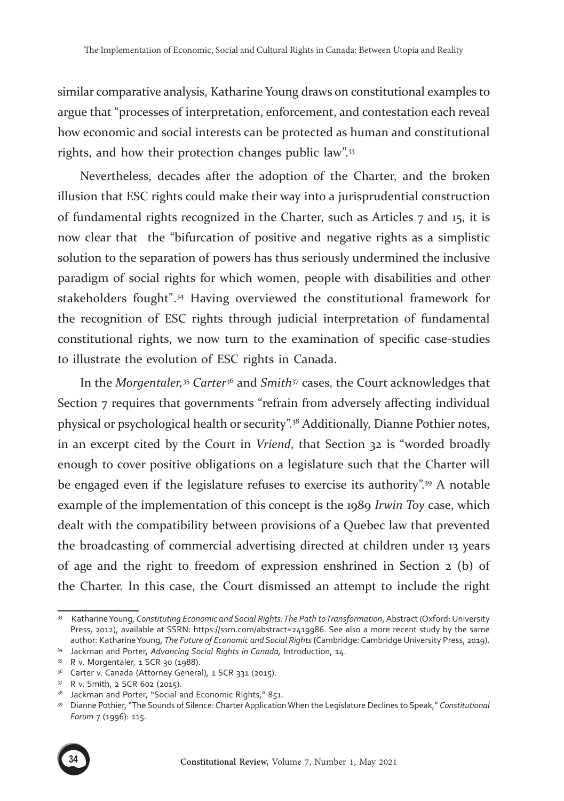similar comparative analysis, Katharine Young draws on constitutional examples to argue that "processes of interpretation, enforcement, and contestation each reveal how economic and social interests can be protected as human and constitutional rights, and how their protection changes public law".<sup>33</sup>

Nevertheless, decades after the adoption of the Charter, and the broken illusion that ESC rights could make their way into a jurisprudential construction of fundamental rights recognized in the Charter, such as Articles 7 and 15, it is now clear that the "bifurcation of positive and negative rights as a simplistic solution to the separation of powers has thus seriously undermined the inclusive paradigm of social rights for which women, people with disabilities and other stakeholders fought".34 Having overviewed the constitutional framework for the recognition of ESC rights through judicial interpretation of fundamental constitutional rights, we now turn to the examination of specific case-studies to illustrate the evolution of ESC rights in Canada.

In the *Morgentaler,*35 *Carter*<sup>36</sup> and *Smith*37 cases, the Court acknowledges that Section 7 requires that governments "refrain from adversely affecting individual physical or psychological health or security".38 Additionally, Dianne Pothier notes, in an excerpt cited by the Court in *Vriend*, that Section 32 is "worded broadly enough to cover positive obligations on a legislature such that the Charter will be engaged even if the legislature refuses to exercise its authority".<sup>39</sup> A notable example of the implementation of this concept is the 1989 *Irwin Toy* case, which dealt with the compatibility between provisions of a Quebec law that prevented the broadcasting of commercial advertising directed at children under 13 years of age and the right to freedom of expression enshrined in Section 2 (b) of the Charter. In this case, the Court dismissed an attempt to include the right

<sup>39</sup> Dianne Pothier,"The Sounds of Silence: Charter Application When the Legislature Declines to Speak," *Constitutional Forum* 7 (1996): 115.



<sup>33</sup> Katharine Young, *Constituting Economic and Social Rights: The Path to Transformation*, Abstract (Oxford: University Press, 2012), available at SSRN: https://ssrn.com/abstract=2419986. See also a more recent study by the same author: Katharine Young, *The Future of Economic and Social Rights* (Cambridge: Cambridge University Press, 2019).

<sup>34</sup> Jackman and Porter, *Advancing Social Rights in Canada,* Introduction, 14.

<sup>35</sup> R v. Morgentaler, 1 SCR 30 (1988).

<sup>&</sup>lt;sup>36</sup> Carter v. Canada (Attorney General), 1 SCR 331 (2015).

<sup>37</sup> R v. Smith, 2 SCR 602 (2015).

<sup>38</sup> Jackman and Porter, "Social and Economic Rights," 851.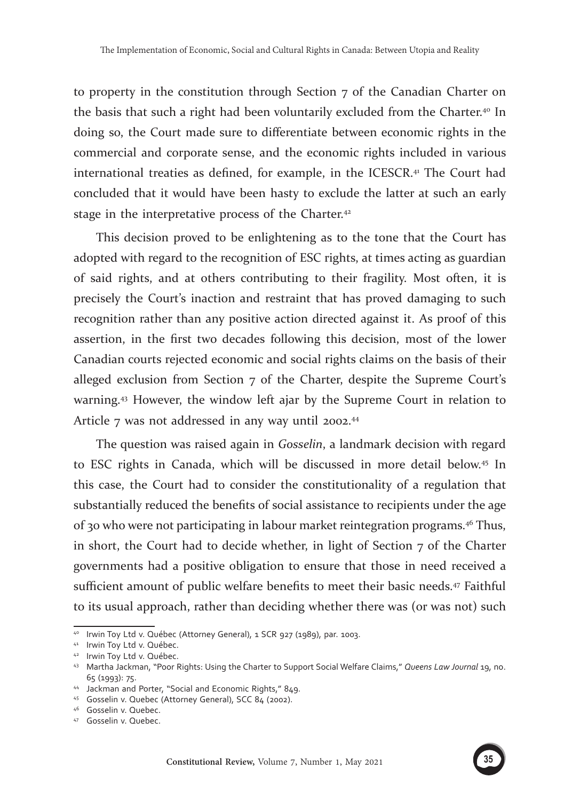to property in the constitution through Section 7 of the Canadian Charter on the basis that such a right had been voluntarily excluded from the Charter.40 In doing so, the Court made sure to differentiate between economic rights in the commercial and corporate sense, and the economic rights included in various international treaties as defined, for example, in the ICESCR.<sup>41</sup> The Court had concluded that it would have been hasty to exclude the latter at such an early stage in the interpretative process of the Charter.<sup>42</sup>

This decision proved to be enlightening as to the tone that the Court has adopted with regard to the recognition of ESC rights, at times acting as guardian of said rights, and at others contributing to their fragility. Most often, it is precisely the Court's inaction and restraint that has proved damaging to such recognition rather than any positive action directed against it. As proof of this assertion, in the first two decades following this decision, most of the lower Canadian courts rejected economic and social rights claims on the basis of their alleged exclusion from Section 7 of the Charter, despite the Supreme Court's warning.43 However, the window left ajar by the Supreme Court in relation to Article 7 was not addressed in any way until 2002.<sup>44</sup>

The question was raised again in *Gosselin*, a landmark decision with regard to ESC rights in Canada, which will be discussed in more detail below.45 In this case, the Court had to consider the constitutionality of a regulation that substantially reduced the benefits of social assistance to recipients under the age of 30 who were not participating in labour market reintegration programs.46 Thus, in short, the Court had to decide whether, in light of Section 7 of the Charter governments had a positive obligation to ensure that those in need received a sufficient amount of public welfare benefits to meet their basic needs.47 Faithful to its usual approach, rather than deciding whether there was (or was not) such

<sup>40</sup> Irwin Toy Ltd v. Québec (Attorney General), 1 SCR 927 (1989), par. 1003.<br>41 Irwin Toy Ltd v. Québec.

<sup>42</sup> Irwin Toy Ltd v. Québec.

<sup>43</sup> Martha Jackman, "Poor Rights: Using the Charter to Support Social Welfare Claims," *Queens Law Journal* 19, no.

<sup>65 (1993): 75. 44</sup> Jackman and Porter, "Social and Economic Rights," 849.

<sup>&</sup>lt;sup>45</sup> Gosselin v. Quebec (Attorney General), SCC 84 (2002).<br><sup>46</sup> Gosselin v. Quebec.<br><sup>47</sup> Gosselin v. Quebec.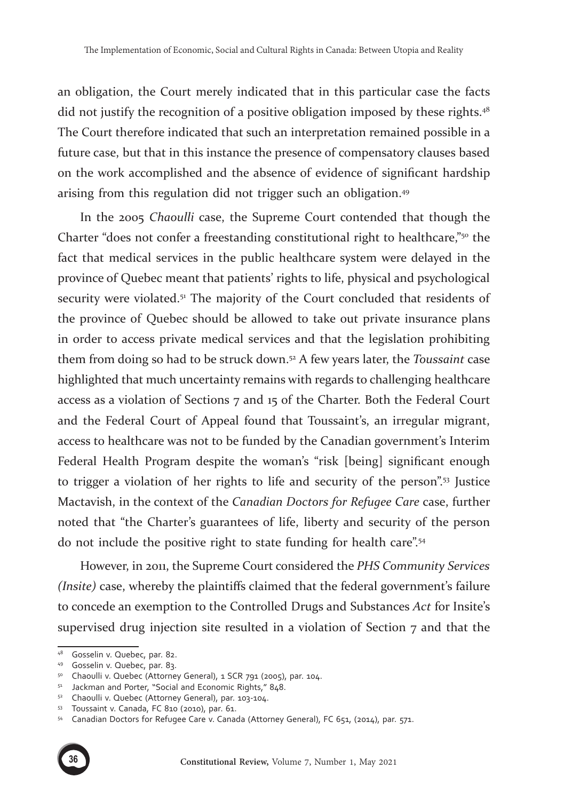an obligation, the Court merely indicated that in this particular case the facts did not justify the recognition of a positive obligation imposed by these rights.<sup>48</sup> The Court therefore indicated that such an interpretation remained possible in a future case, but that in this instance the presence of compensatory clauses based on the work accomplished and the absence of evidence of significant hardship arising from this regulation did not trigger such an obligation.<sup>49</sup>

In the 2005 *Chaoulli* case, the Supreme Court contended that though the Charter "does not confer a freestanding constitutional right to healthcare,"50 the fact that medical services in the public healthcare system were delayed in the province of Quebec meant that patients' rights to life, physical and psychological security were violated.<sup>51</sup> The majority of the Court concluded that residents of the province of Quebec should be allowed to take out private insurance plans in order to access private medical services and that the legislation prohibiting them from doing so had to be struck down.52 A few years later, the *Toussaint* case highlighted that much uncertainty remains with regards to challenging healthcare access as a violation of Sections 7 and 15 of the Charter. Both the Federal Court and the Federal Court of Appeal found that Toussaint's, an irregular migrant, access to healthcare was not to be funded by the Canadian government's Interim Federal Health Program despite the woman's "risk [being] significant enough to trigger a violation of her rights to life and security of the person".53 Justice Mactavish, in the context of the *Canadian Doctors for Refugee Care* case, further noted that "the Charter's guarantees of life, liberty and security of the person do not include the positive right to state funding for health care".54

However, in 2011, the Supreme Court considered the *PHS Community Services (Insite)* case, whereby the plaintiffs claimed that the federal government's failure to concede an exemption to the Controlled Drugs and Substances *Act* for Insite's supervised drug injection site resulted in a violation of Section 7 and that the

<sup>54</sup> Canadian Doctors for Refugee Care v. Canada (Attorney General), FC 651, (2014), par. 571.



<sup>&</sup>lt;sup>48</sup> Gosselin v. Quebec, par. 82.<br><sup>49</sup> Gosselin v. Quebec, par. 83.<br><sup>50</sup> Chaoulli v. Quebec (Attorney General), 1 SCR 791 (2005), par. 104.

<sup>51</sup> Jackman and Porter, "Social and Economic Rights," 848.

<sup>52</sup> Chaoulli v. Quebec (Attorney General), par. 103-104.

<sup>53</sup> Toussaint v. Canada, FC 810 (2010), par. 61.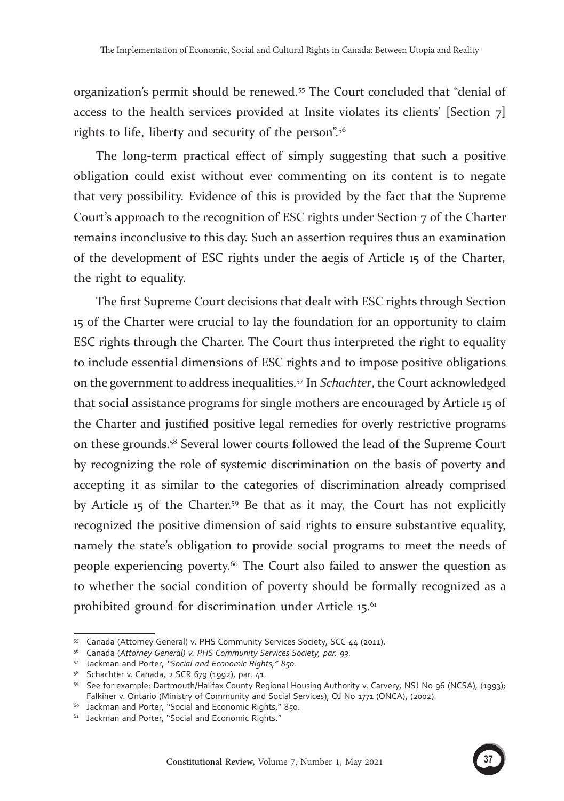organization's permit should be renewed.55 The Court concluded that "denial of access to the health services provided at Insite violates its clients' [Section  $7$ ] rights to life, liberty and security of the person".56

The long-term practical effect of simply suggesting that such a positive obligation could exist without ever commenting on its content is to negate that very possibility. Evidence of this is provided by the fact that the Supreme Court's approach to the recognition of ESC rights under Section 7 of the Charter remains inconclusive to this day. Such an assertion requires thus an examination of the development of ESC rights under the aegis of Article 15 of the Charter*,*  the right to equality.

The first Supreme Court decisions that dealt with ESC rights through Section 15 of the Charter were crucial to lay the foundation for an opportunity to claim ESC rights through the Charter. The Court thus interpreted the right to equality to include essential dimensions of ESC rights and to impose positive obligations on the government to address inequalities.57 In *Schachter*, the Court acknowledged that social assistance programs for single mothers are encouraged by Article 15 of the Charter and justified positive legal remedies for overly restrictive programs on these grounds.58 Several lower courts followed the lead of the Supreme Court by recognizing the role of systemic discrimination on the basis of poverty and accepting it as similar to the categories of discrimination already comprised by Article 15 of the Charter.59 Be that as it may, the Court has not explicitly recognized the positive dimension of said rights to ensure substantive equality, namely the state's obligation to provide social programs to meet the needs of people experiencing poverty.60 The Court also failed to answer the question as to whether the social condition of poverty should be formally recognized as a prohibited ground for discrimination under Article  $15$ <sup>.61</sup>



<sup>&</sup>lt;sup>55</sup> Canada (Attorney General) v. PHS Community Services Society, SCC 44 (2011).<br><sup>56</sup> Canada (Attorney General) v. PHS Community Services Society, par. 93.

<sup>57</sup> Jackman and Porter*, "Social and Economic Rights," 850.*

<sup>&</sup>lt;sup>58</sup> Schachter v. Canada, 2 SCR 679 (1992), par. 41.<br><sup>59</sup> See for example: Dartmouth/Halifax County Regional Housing Authority v. Carvery, NSJ No 96 (NCSA), (1993); Falkiner v. Ontario (Ministry of Community and Social Services), OJ No 1771 (ONCA), (2002).

<sup>60</sup> Jackman and Porter, "Social and Economic Rights," 850.

<sup>&</sup>lt;sup>61</sup> Jackman and Porter, "Social and Economic Rights."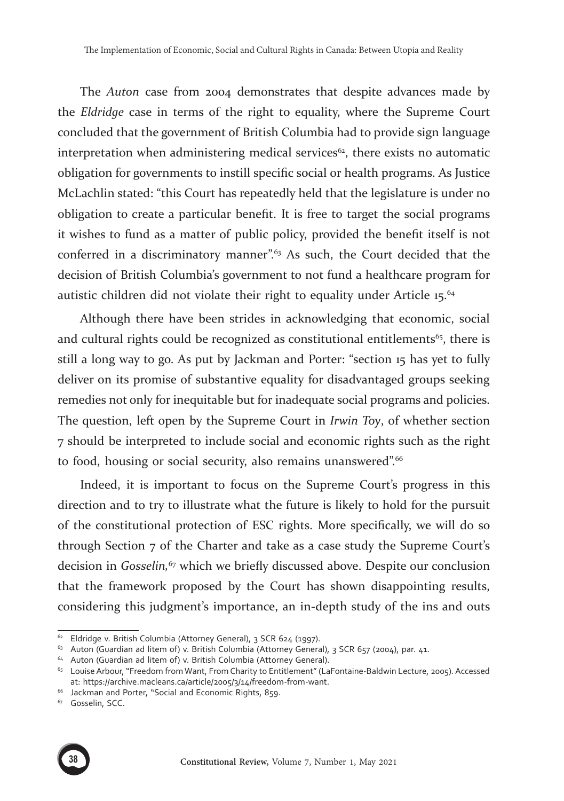The *Auton* case from 2004 demonstrates that despite advances made by the *Eldridge* case in terms of the right to equality, where the Supreme Court concluded that the government of British Columbia had to provide sign language interpretation when administering medical services<sup>62</sup>, there exists no automatic obligation for governments to instill specific social or health programs. As Justice McLachlin stated: "this Court has repeatedly held that the legislature is under no obligation to create a particular benefit. It is free to target the social programs it wishes to fund as a matter of public policy, provided the benefit itself is not conferred in a discriminatory manner".<sup>63</sup> As such, the Court decided that the decision of British Columbia's government to not fund a healthcare program for autistic children did not violate their right to equality under Article 15.<sup>64</sup>

Although there have been strides in acknowledging that economic, social and cultural rights could be recognized as constitutional entitlements $65$ , there is still a long way to go. As put by Jackman and Porter: "section 15 has yet to fully deliver on its promise of substantive equality for disadvantaged groups seeking remedies not only for inequitable but for inadequate social programs and policies. The question, left open by the Supreme Court in *Irwin Toy*, of whether section 7 should be interpreted to include social and economic rights such as the right to food, housing or social security, also remains unanswered".<sup>66</sup>

Indeed, it is important to focus on the Supreme Court's progress in this direction and to try to illustrate what the future is likely to hold for the pursuit of the constitutional protection of ESC rights. More specifically, we will do so through Section 7 of the Charter and take as a case study the Supreme Court's decision in *Gosselin,*67 which we briefly discussed above. Despite our conclusion that the framework proposed by the Court has shown disappointing results, considering this judgment's importance, an in-depth study of the ins and outs

<sup>&</sup>lt;sup>67</sup> Gosselin, SCC.



<sup>&</sup>lt;sup>62</sup> Eldridge v. British Columbia (Attorney General), 3 SCR 624 (1997).

 $63$  Auton (Guardian ad litem of) v. British Columbia (Attorney General), 3 SCR 657 (2004), par. 41.

<sup>&</sup>lt;sup>64</sup> Auton (Guardian ad litem of) v. British Columbia (Attorney General).

<sup>65</sup> Louise Arbour, "Freedom from Want, From Charity to Entitlement" (LaFontaine-Baldwin Lecture, 2005). Accessed at: https://archive.macleans.ca/article/2005/3/14/freedom-from-want.

<sup>&</sup>lt;sup>66</sup> Jackman and Porter, "Social and Economic Rights, 859.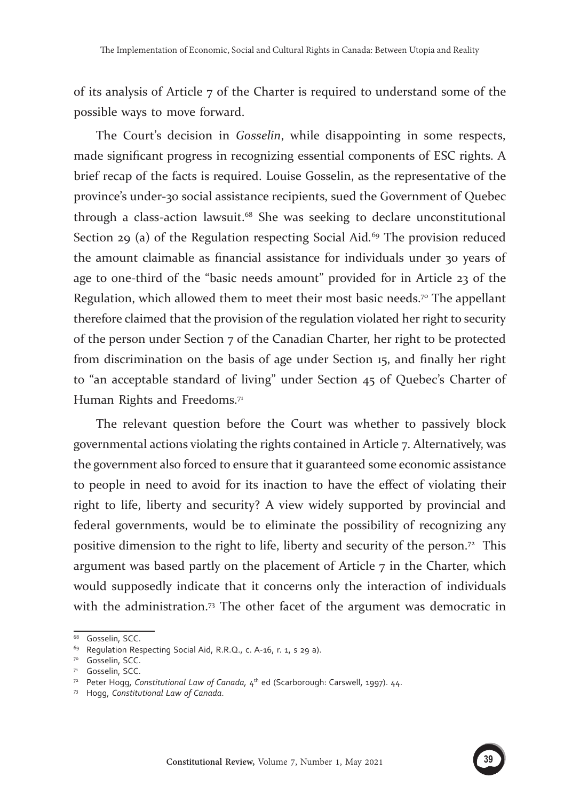of its analysis of Article 7 of the Charter is required to understand some of the possible ways to move forward.

The Court's decision in *Gosselin*, while disappointing in some respects, made significant progress in recognizing essential components of ESC rights. A brief recap of the facts is required. Louise Gosselin, as the representative of the province's under-30 social assistance recipients, sued the Government of Quebec through a class-action lawsuit.68 She was seeking to declare unconstitutional Section 29 (a) of the Regulation respecting Social Aid*.* 69 The provision reduced the amount claimable as financial assistance for individuals under 30 years of age to one-third of the "basic needs amount" provided for in Article 23 of the Regulation, which allowed them to meet their most basic needs.<sup>70</sup> The appellant therefore claimed that the provision of the regulation violated her right to security of the person under Section 7 of the Canadian Charter, her right to be protected from discrimination on the basis of age under Section 15, and finally her right to "an acceptable standard of living" under Section 45 of Quebec's Charter of Human Rights and Freedoms.<sup>71</sup>

The relevant question before the Court was whether to passively block governmental actions violating the rights contained in Article 7. Alternatively, was the government also forced to ensure that it guaranteed some economic assistance to people in need to avoid for its inaction to have the effect of violating their right to life, liberty and security? A view widely supported by provincial and federal governments, would be to eliminate the possibility of recognizing any positive dimension to the right to life, liberty and security of the person.72 This argument was based partly on the placement of Article  $7$  in the Charter, which would supposedly indicate that it concerns only the interaction of individuals with the administration.<sup>73</sup> The other facet of the argument was democratic in

<sup>&</sup>lt;sup>68</sup> Gosselin, SCC.

<sup>&</sup>lt;sup>69</sup> Regulation Respecting Social Aid, R.R.Q., c. A-16, r. 1, s 29 a).<br><sup>70</sup> Gosselin, SCC.<br><sup>71</sup> Gosselin, SCC.

<sup>&</sup>lt;sup>72</sup> Peter Hogg, *Constitutional Law of Canada*, 4<sup>th</sup> ed (Scarborough: Carswell, 1997). 44.

<sup>73</sup> Hogg, *Constitutional Law of Canada*.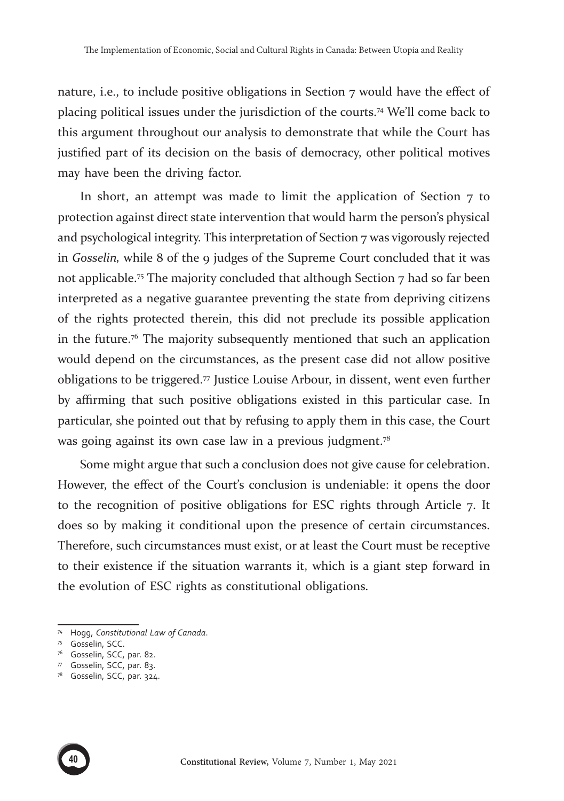nature, i.e., to include positive obligations in Section 7 would have the effect of placing political issues under the jurisdiction of the courts.74 We'll come back to this argument throughout our analysis to demonstrate that while the Court has justified part of its decision on the basis of democracy, other political motives may have been the driving factor.

In short, an attempt was made to limit the application of Section 7 to protection against direct state intervention that would harm the person's physical and psychological integrity. This interpretation of Section 7 was vigorously rejected in *Gosselin,* while 8 of the 9 judges of the Supreme Court concluded that it was not applicable.<sup>75</sup> The majority concluded that although Section  $7$  had so far been interpreted as a negative guarantee preventing the state from depriving citizens of the rights protected therein, this did not preclude its possible application in the future.76 The majority subsequently mentioned that such an application would depend on the circumstances, as the present case did not allow positive obligations to be triggered. $\pi$  Justice Louise Arbour, in dissent, went even further by affirming that such positive obligations existed in this particular case. In particular, she pointed out that by refusing to apply them in this case, the Court was going against its own case law in a previous judgment.<sup>78</sup>

Some might argue that such a conclusion does not give cause for celebration. However, the effect of the Court's conclusion is undeniable: it opens the door to the recognition of positive obligations for ESC rights through Article 7. It does so by making it conditional upon the presence of certain circumstances. Therefore, such circumstances must exist, or at least the Court must be receptive to their existence if the situation warrants it, which is a giant step forward in the evolution of ESC rights as constitutional obligations.



<sup>74</sup> Hogg, *Constitutional Law of Canada*.<br><sup>75</sup> Gosselin, SCC.<br><sup>76</sup> Gosselin, SCC, par. 82.<br><sup>77</sup> Gosselin, SCC, par. 83.

<sup>78</sup> Gosselin, SCC, par. 324.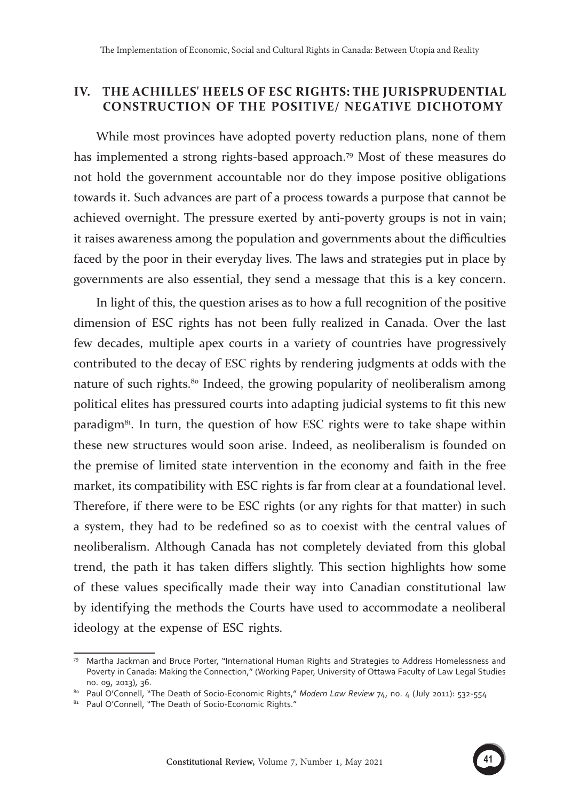## **IV. THE ACHILLES' HEELS OF ESC RIGHTS: THE JURISPRUDENTIAL CONSTRUCTION OF THE POSITIVE/ NEGATIVE DICHOTOMY**

While most provinces have adopted poverty reduction plans, none of them has implemented a strong rights-based approach.79 Most of these measures do not hold the government accountable nor do they impose positive obligations towards it. Such advances are part of a process towards a purpose that cannot be achieved overnight. The pressure exerted by anti-poverty groups is not in vain; it raises awareness among the population and governments about the difficulties faced by the poor in their everyday lives. The laws and strategies put in place by governments are also essential, they send a message that this is a key concern.

In light of this, the question arises as to how a full recognition of the positive dimension of ESC rights has not been fully realized in Canada. Over the last few decades, multiple apex courts in a variety of countries have progressively contributed to the decay of ESC rights by rendering judgments at odds with the nature of such rights.<sup>80</sup> Indeed, the growing popularity of neoliberalism among political elites has pressured courts into adapting judicial systems to fit this new paradigm<sup>81</sup>. In turn, the question of how ESC rights were to take shape within these new structures would soon arise. Indeed, as neoliberalism is founded on the premise of limited state intervention in the economy and faith in the free market, its compatibility with ESC rights is far from clear at a foundational level. Therefore, if there were to be ESC rights (or any rights for that matter) in such a system, they had to be redefined so as to coexist with the central values of neoliberalism. Although Canada has not completely deviated from this global trend, the path it has taken differs slightly. This section highlights how some of these values specifically made their way into Canadian constitutional law by identifying the methods the Courts have used to accommodate a neoliberal ideology at the expense of ESC rights.

<sup>79</sup> Martha Jackman and Bruce Porter, "International Human Rights and Strategies to Address Homelessness and Poverty in Canada: Making the Connection," (Working Paper, University of Ottawa Faculty of Law Legal Studies no. 09, 2013), 36.

<sup>80</sup> Paul O'Connell, "The Death of Socio-Economic Rights," *Modern Law Review 74*, no. 4 (July 2011): 532-554

<sup>81</sup> Paul O'Connell, "The Death of Socio-Economic Rights."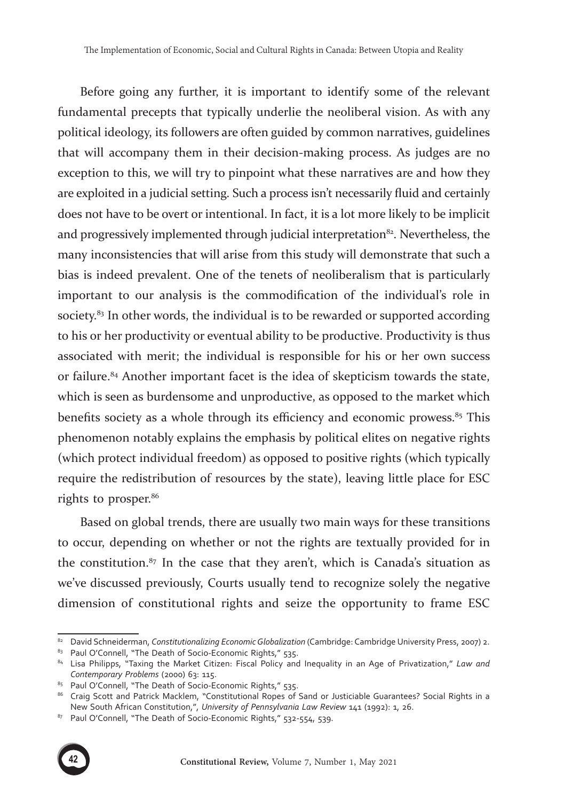Before going any further, it is important to identify some of the relevant fundamental precepts that typically underlie the neoliberal vision. As with any political ideology, its followers are often guided by common narratives, guidelines that will accompany them in their decision-making process. As judges are no exception to this, we will try to pinpoint what these narratives are and how they are exploited in a judicial setting. Such a process isn't necessarily fluid and certainly does not have to be overt or intentional. In fact, it is a lot more likely to be implicit and progressively implemented through judicial interpretation<sup>82</sup>. Nevertheless, the many inconsistencies that will arise from this study will demonstrate that such a bias is indeed prevalent. One of the tenets of neoliberalism that is particularly important to our analysis is the commodification of the individual's role in society.<sup>83</sup> In other words, the individual is to be rewarded or supported according to his or her productivity or eventual ability to be productive. Productivity is thus associated with merit; the individual is responsible for his or her own success or failure.84 Another important facet is the idea of skepticism towards the state, which is seen as burdensome and unproductive, as opposed to the market which benefits society as a whole through its efficiency and economic prowess.<sup>85</sup> This phenomenon notably explains the emphasis by political elites on negative rights (which protect individual freedom) as opposed to positive rights (which typically require the redistribution of resources by the state), leaving little place for ESC rights to prosper.<sup>86</sup>

Based on global trends, there are usually two main ways for these transitions to occur, depending on whether or not the rights are textually provided for in the constitution. $87$  In the case that they aren't, which is Canada's situation as we've discussed previously, Courts usually tend to recognize solely the negative dimension of constitutional rights and seize the opportunity to frame ESC

<sup>87</sup> Paul O'Connell, "The Death of Socio-Economic Rights," 532-554, 539.



<sup>82</sup> David Schneiderman, *Constitutionalizing Economic Globalization* (Cambridge: Cambridge University Press, 2007) 2.

<sup>83</sup> Paul O'Connell, "The Death of Socio-Economic Rights," 535.

<sup>84</sup> Lisa Philipps, "Taxing the Market Citizen: Fiscal Policy and Inequality in an Age of Privatization," *Law and Contemporary Problems* (2000) 63: 115.

<sup>85</sup> Paul O'Connell, "The Death of Socio-Economic Rights," 535.

<sup>86</sup> Craig Scott and Patrick Macklem, "Constitutional Ropes of Sand or Justiciable Guarantees? Social Rights in a New South African Constitution,", *University of Pennsylvania Law Review* 141 (1992): 1, 26.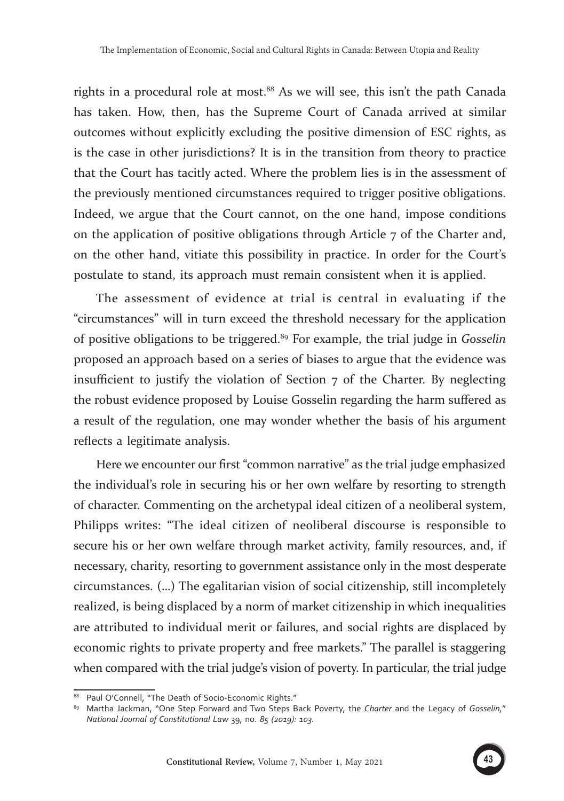rights in a procedural role at most.<sup>88</sup> As we will see, this isn't the path Canada has taken. How, then, has the Supreme Court of Canada arrived at similar outcomes without explicitly excluding the positive dimension of ESC rights, as is the case in other jurisdictions? It is in the transition from theory to practice that the Court has tacitly acted. Where the problem lies is in the assessment of the previously mentioned circumstances required to trigger positive obligations. Indeed, we argue that the Court cannot, on the one hand, impose conditions on the application of positive obligations through Article 7 of the Charter and, on the other hand, vitiate this possibility in practice. In order for the Court's postulate to stand, its approach must remain consistent when it is applied.

The assessment of evidence at trial is central in evaluating if the "circumstances" will in turn exceed the threshold necessary for the application of positive obligations to be triggered.89 For example, the trial judge in *Gosselin* proposed an approach based on a series of biases to argue that the evidence was insufficient to justify the violation of Section  $\tau$  of the Charter. By neglecting the robust evidence proposed by Louise Gosselin regarding the harm suffered as a result of the regulation, one may wonder whether the basis of his argument reflects a legitimate analysis.

Here we encounter our first "common narrative" as the trial judge emphasized the individual's role in securing his or her own welfare by resorting to strength of character. Commenting on the archetypal ideal citizen of a neoliberal system, Philipps writes: "The ideal citizen of neoliberal discourse is responsible to secure his or her own welfare through market activity, family resources, and, if necessary, charity, resorting to government assistance only in the most desperate circumstances. (…) The egalitarian vision of social citizenship, still incompletely realized, is being displaced by a norm of market citizenship in which inequalities are attributed to individual merit or failures, and social rights are displaced by economic rights to private property and free markets." The parallel is staggering when compared with the trial judge's vision of poverty. In particular, the trial judge



<sup>88</sup> Paul O'Connell, "The Death of Socio-Economic Rights."

<sup>89</sup> Martha Jackman, "One Step Forward and Two Steps Back Poverty, the *Charter* and the Legacy of *Gosselin,*" *National Journal of Constitutional Law* 39, no. *85 (2019): 103.*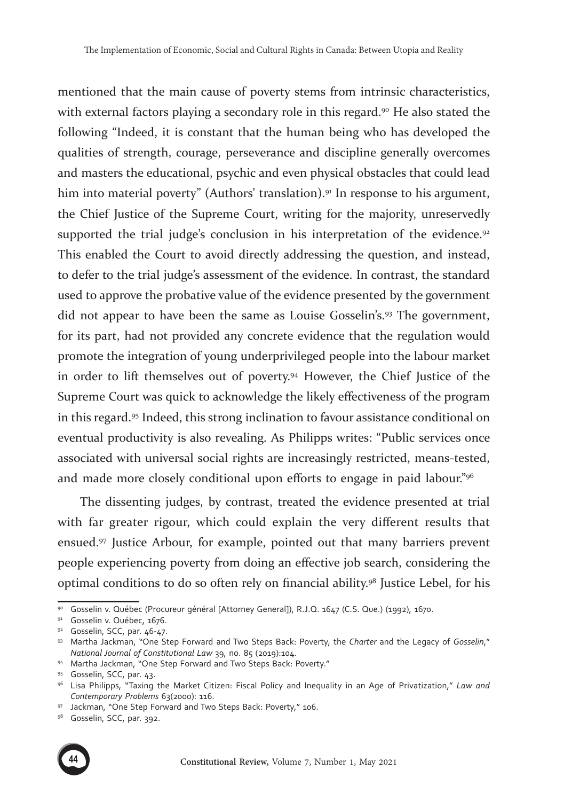mentioned that the main cause of poverty stems from intrinsic characteristics, with external factors playing a secondary role in this regard.<sup>90</sup> He also stated the following "Indeed, it is constant that the human being who has developed the qualities of strength, courage, perseverance and discipline generally overcomes and masters the educational, psychic and even physical obstacles that could lead him into material poverty" (Authors' translation).<sup>91</sup> In response to his argument, the Chief Justice of the Supreme Court, writing for the majority, unreservedly supported the trial judge's conclusion in his interpretation of the evidence.<sup>92</sup> This enabled the Court to avoid directly addressing the question, and instead, to defer to the trial judge's assessment of the evidence. In contrast, the standard used to approve the probative value of the evidence presented by the government did not appear to have been the same as Louise Gosselin's.93 The government, for its part, had not provided any concrete evidence that the regulation would promote the integration of young underprivileged people into the labour market in order to lift themselves out of poverty.94 However, the Chief Justice of the Supreme Court was quick to acknowledge the likely effectiveness of the program in this regard.95 Indeed, this strong inclination to favour assistance conditional on eventual productivity is also revealing. As Philipps writes: "Public services once associated with universal social rights are increasingly restricted, means-tested, and made more closely conditional upon efforts to engage in paid labour."<sup>96</sup>

The dissenting judges, by contrast, treated the evidence presented at trial with far greater rigour, which could explain the very different results that ensued.97 Justice Arbour, for example, pointed out that many barriers prevent people experiencing poverty from doing an effective job search, considering the optimal conditions to do so often rely on financial ability.98 Justice Lebel, for his



<sup>90</sup> Gosselin v. Québec (Procureur général [Attorney General]), R.J.Q. 1647 (C.S. Que.) (1992), 1670.

<sup>91</sup> Gosselin v. Québec, 1676.<br>
92 Gosselin, SCC, par. 46-47.<br>
93 Martha Jackman, "One Step Forward and Two Steps Back: Poverty, the *Charter* and the Legacy of *Gosselin*,"<br> *National Journal of Constitutional Law* 39, no.

<sup>&</sup>lt;sup>94</sup> Martha Jackman, "One Step Forward and Two Steps Back: Poverty."

<sup>95</sup> Gosselin, SCC, par. 43.

<sup>96</sup> Lisa Philipps, "Taxing the Market Citizen: Fiscal Policy and Inequality in an Age of Privatization," *Law and Contemporary Problems* 63(2000): 116.

<sup>&</sup>lt;sup>97</sup> Jackman, "One Step Forward and Two Steps Back: Poverty," 106.<br><sup>98</sup> Gosselin, SCC, par. 392.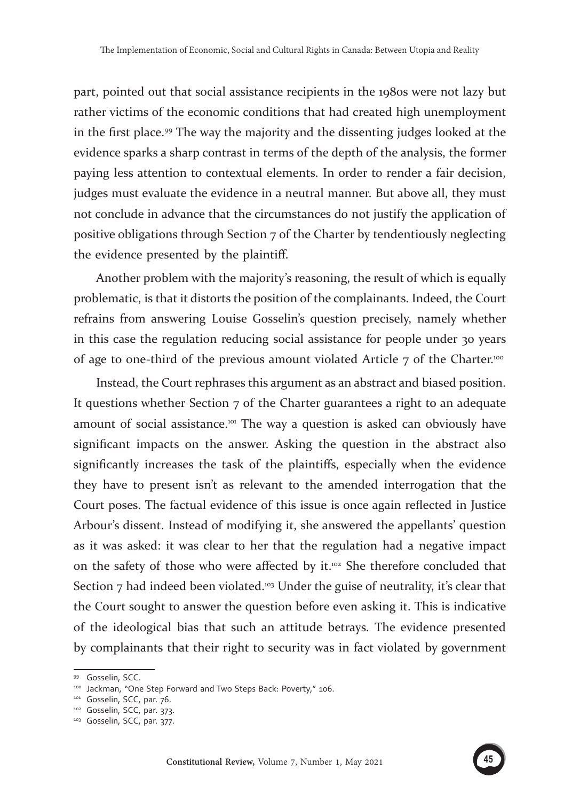part, pointed out that social assistance recipients in the 1980s were not lazy but rather victims of the economic conditions that had created high unemployment in the first place.99 The way the majority and the dissenting judges looked at the evidence sparks a sharp contrast in terms of the depth of the analysis, the former paying less attention to contextual elements. In order to render a fair decision, judges must evaluate the evidence in a neutral manner. But above all, they must not conclude in advance that the circumstances do not justify the application of positive obligations through Section 7 of the Charter by tendentiously neglecting the evidence presented by the plaintiff.

Another problem with the majority's reasoning, the result of which is equally problematic, is that it distorts the position of the complainants. Indeed, the Court refrains from answering Louise Gosselin's question precisely, namely whether in this case the regulation reducing social assistance for people under 30 years of age to one-third of the previous amount violated Article  $7$  of the Charter.<sup>100</sup>

Instead, the Court rephrases this argument as an abstract and biased position. It questions whether Section 7 of the Charter guarantees a right to an adequate amount of social assistance.<sup>101</sup> The way a question is asked can obviously have significant impacts on the answer. Asking the question in the abstract also significantly increases the task of the plaintiffs, especially when the evidence they have to present isn't as relevant to the amended interrogation that the Court poses. The factual evidence of this issue is once again reflected in Justice Arbour's dissent. Instead of modifying it, she answered the appellants' question as it was asked: it was clear to her that the regulation had a negative impact on the safety of those who were affected by it.<sup>102</sup> She therefore concluded that Section  $7$  had indeed been violated.<sup>103</sup> Under the guise of neutrality, it's clear that the Court sought to answer the question before even asking it. This is indicative of the ideological bias that such an attitude betrays. The evidence presented by complainants that their right to security was in fact violated by government

<sup>99</sup> Gosselin, SCC.

<sup>&</sup>lt;sup>100</sup> Jackman, "One Step Forward and Two Steps Back: Poverty," 106.<br><sup>101</sup> Gosselin, SCC, par. 76.<br><sup>102</sup> Gosselin, SCC, par. 373.

<sup>103</sup> Gosselin, SCC, par. 377.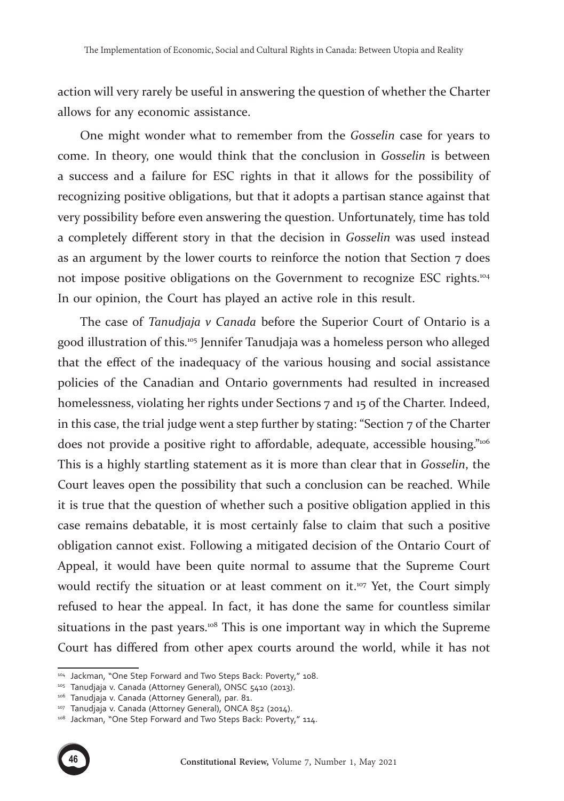action will very rarely be useful in answering the question of whether the Charter allows for any economic assistance.

One might wonder what to remember from the *Gosselin* case for years to come. In theory, one would think that the conclusion in *Gosselin* is between a success and a failure for ESC rights in that it allows for the possibility of recognizing positive obligations, but that it adopts a partisan stance against that very possibility before even answering the question. Unfortunately, time has told a completely different story in that the decision in *Gosselin* was used instead as an argument by the lower courts to reinforce the notion that Section  $7$  does not impose positive obligations on the Government to recognize ESC rights.<sup>104</sup> In our opinion, the Court has played an active role in this result.

The case of *Tanudjaja v Canada* before the Superior Court of Ontario is a good illustration of this.105 Jennifer Tanudjaja was a homeless person who alleged that the effect of the inadequacy of the various housing and social assistance policies of the Canadian and Ontario governments had resulted in increased homelessness, violating her rights under Sections 7 and 15 of the Charter. Indeed, in this case, the trial judge went a step further by stating: "Section  $7$  of the Charter does not provide a positive right to affordable, adequate, accessible housing."<sup>106</sup> This is a highly startling statement as it is more than clear that in *Gosselin*, the Court leaves open the possibility that such a conclusion can be reached. While it is true that the question of whether such a positive obligation applied in this case remains debatable, it is most certainly false to claim that such a positive obligation cannot exist. Following a mitigated decision of the Ontario Court of Appeal, it would have been quite normal to assume that the Supreme Court would rectify the situation or at least comment on it.<sup>107</sup> Yet, the Court simply refused to hear the appeal. In fact, it has done the same for countless similar situations in the past years.<sup>108</sup> This is one important way in which the Supreme Court has differed from other apex courts around the world, while it has not

<sup>&</sup>lt;sup>107</sup> Tanudjaja v. Canada (Attorney General), ONCA 852 (2014).<br><sup>108</sup> Jackman, "One Step Forward and Two Steps Back: Poverty," 114.



<sup>&</sup>lt;sup>104</sup> Jackman, "One Step Forward and Two Steps Back: Poverty," 108.<br><sup>105</sup> Tanudjaja v. Canada (Attorney General), ONSC 5410 (2013).<br><sup>106</sup> Tanudjaja v. Canada (Attorney General), par. 81.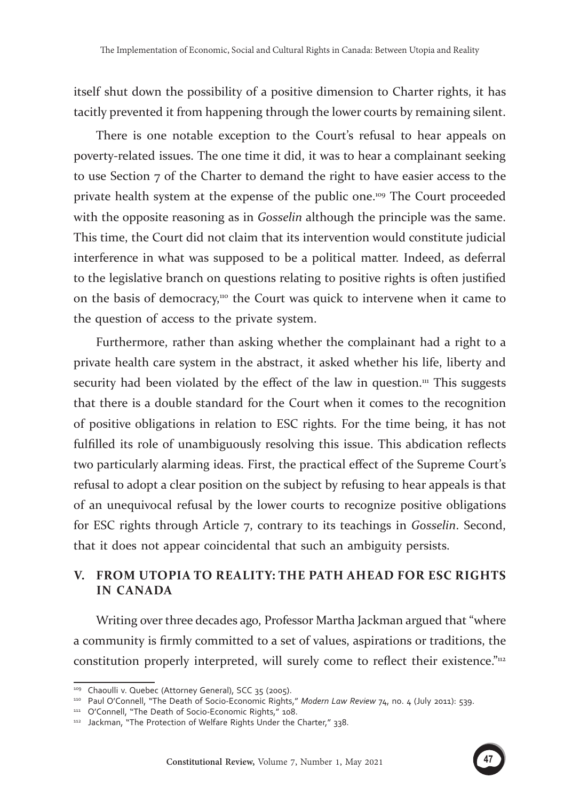itself shut down the possibility of a positive dimension to Charter rights, it has tacitly prevented it from happening through the lower courts by remaining silent.

There is one notable exception to the Court's refusal to hear appeals on poverty-related issues. The one time it did, it was to hear a complainant seeking to use Section 7 of the Charter to demand the right to have easier access to the private health system at the expense of the public one.109 The Court proceeded with the opposite reasoning as in *Gosselin* although the principle was the same. This time, the Court did not claim that its intervention would constitute judicial interference in what was supposed to be a political matter. Indeed, as deferral to the legislative branch on questions relating to positive rights is often justified on the basis of democracy,<sup>110</sup> the Court was quick to intervene when it came to the question of access to the private system.

Furthermore, rather than asking whether the complainant had a right to a private health care system in the abstract, it asked whether his life, liberty and security had been violated by the effect of the law in question.<sup>111</sup> This suggests that there is a double standard for the Court when it comes to the recognition of positive obligations in relation to ESC rights. For the time being, it has not fulfilled its role of unambiguously resolving this issue. This abdication reflects two particularly alarming ideas. First, the practical effect of the Supreme Court's refusal to adopt a clear position on the subject by refusing to hear appeals is that of an unequivocal refusal by the lower courts to recognize positive obligations for ESC rights through Article 7, contrary to its teachings in *Gosselin*. Second, that it does not appear coincidental that such an ambiguity persists.

### **V. FROM UTOPIA TO REALITY: THE PATH AHEAD FOR ESC RIGHTS IN CANADA**

Writing over three decades ago, Professor Martha Jackman argued that "where a community is firmly committed to a set of values, aspirations or traditions, the constitution properly interpreted, will surely come to reflect their existence."112



<sup>109</sup> Chaoulli v. Quebec (Attorney General), SCC 35 (2005).

<sup>&</sup>lt;sup>110</sup> Paul O'Connell, "The Death of Socio-Economic Rights," *Modern Law Review* 74, no. 4 (July 2011): 539.<br><sup>111</sup> O'Connell, "The Death of Socio-Economic Rights," 108.

<sup>112</sup> Jackman, "The Protection of Welfare Rights Under the Charter," 338.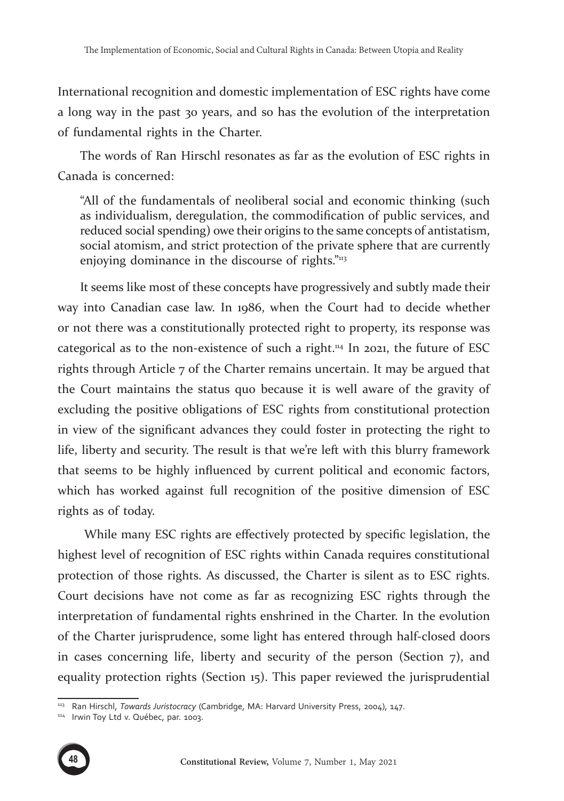International recognition and domestic implementation of ESC rights have come a long way in the past 30 years, and so has the evolution of the interpretation of fundamental rights in the Charter.

The words of Ran Hirschl resonates as far as the evolution of ESC rights in Canada is concerned:

"All of the fundamentals of neoliberal social and economic thinking (such as individualism, deregulation, the commodification of public services, and reduced social spending) owe their origins to the same concepts of antistatism, social atomism, and strict protection of the private sphere that are currently enjoying dominance in the discourse of rights."<sup>113</sup>

It seems like most of these concepts have progressively and subtly made their way into Canadian case law. In 1986, when the Court had to decide whether or not there was a constitutionally protected right to property, its response was categorical as to the non-existence of such a right.<sup>114</sup> In 2021, the future of ESC rights through Article 7 of the Charter remains uncertain. It may be argued that the Court maintains the status quo because it is well aware of the gravity of excluding the positive obligations of ESC rights from constitutional protection in view of the significant advances they could foster in protecting the right to life, liberty and security. The result is that we're left with this blurry framework that seems to be highly influenced by current political and economic factors, which has worked against full recognition of the positive dimension of ESC rights as of today.

 While many ESC rights are effectively protected by specific legislation, the highest level of recognition of ESC rights within Canada requires constitutional protection of those rights. As discussed, the Charter is silent as to ESC rights. Court decisions have not come as far as recognizing ESC rights through the interpretation of fundamental rights enshrined in the Charter. In the evolution of the Charter jurisprudence, some light has entered through half-closed doors in cases concerning life, liberty and security of the person (Section 7), and equality protection rights (Section 15). This paper reviewed the jurisprudential

<sup>114</sup> Irwin Toy Ltd v. Québec, par. 1003.



<sup>113</sup> Ran Hirschl, *Towards Juristocracy* (Cambridge, MA: Harvard University Press, 2004), 147.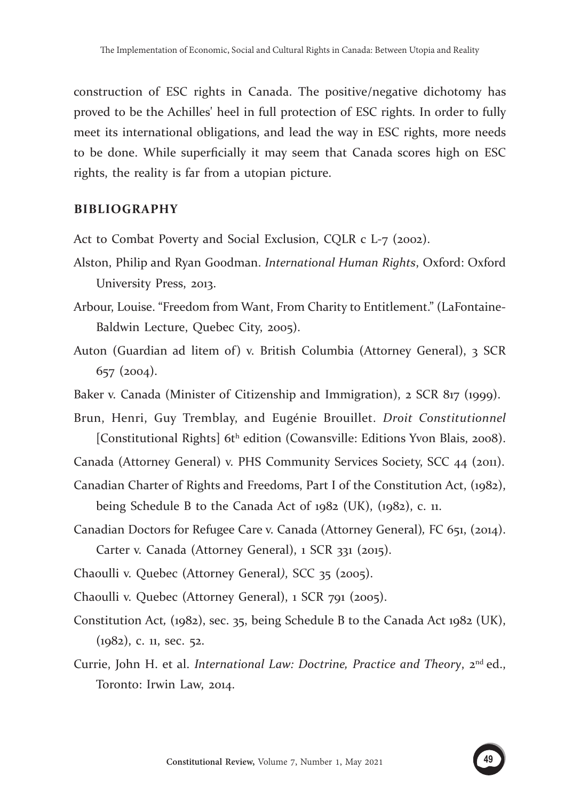construction of ESC rights in Canada. The positive/negative dichotomy has proved to be the Achilles' heel in full protection of ESC rights. In order to fully meet its international obligations, and lead the way in ESC rights, more needs to be done. While superficially it may seem that Canada scores high on ESC rights, the reality is far from a utopian picture.

#### **BIBLIOGRAPHY**

- Act to Combat Poverty and Social Exclusion, CQLR c L-7 (2002).
- Alston, Philip and Ryan Goodman. *International Human Rights*, Oxford: Oxford University Press, 2013.
- Arbour, Louise. "Freedom from Want, From Charity to Entitlement." (LaFontaine-Baldwin Lecture, Quebec City, 2005).
- Auton (Guardian ad litem of) v. British Columbia (Attorney General), 3 SCR 657 (2004).
- Baker v. Canada (Minister of Citizenship and Immigration), 2 SCR 817 (1999).
- Brun, Henri, Guy Tremblay, and Eugénie Brouillet. *Droit Constitutionnel*  [Constitutional Rights]  $6t<sup>h</sup>$  edition (Cowansville: Editions Yvon Blais, 2008).
- Canada (Attorney General) v. PHS Community Services Society, SCC 44 (2011).
- Canadian Charter of Rights and Freedoms, Part I of the Constitution Act, (1982), being Schedule B to the Canada Act of 1982 (UK), (1982), c. 11.
- Canadian Doctors for Refugee Care v. Canada (Attorney General)*,* FC 651, (2014). Carter v. Canada (Attorney General), 1 SCR 331 (2015).
- Chaoulli v. Quebec (Attorney General*)*, SCC 35 (2005).
- Chaoulli v. Quebec (Attorney General), 1 SCR 791 (2005).
- Constitution Act*,* (1982), sec. 35, being Schedule B to the Canada Act 1982 (UK), (1982), c. 11, sec. 52.
- Currie, John H. et al. *International Law: Doctrine, Practice and Theory*, 2nd ed., Toronto: Irwin Law, 2014.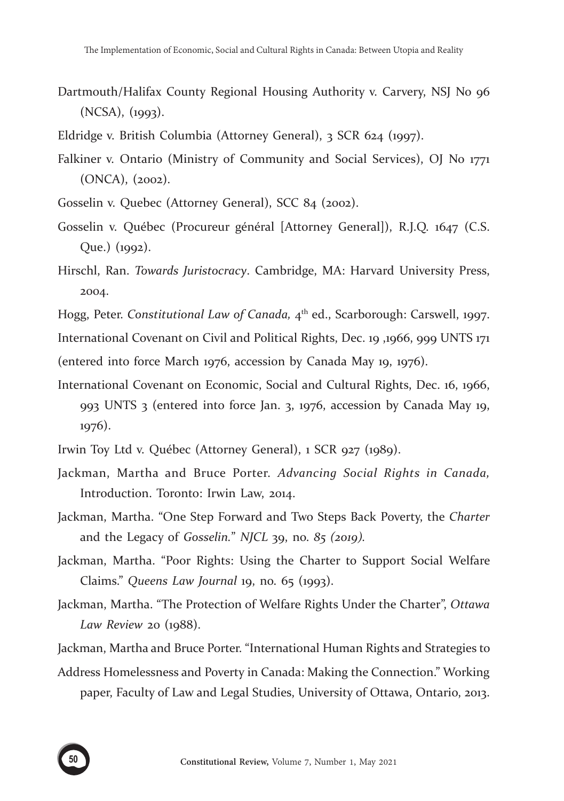- Dartmouth/Halifax County Regional Housing Authority v. Carvery, NSJ No 96 (NCSA), (1993).
- Eldridge v. British Columbia (Attorney General), 3 SCR 624 (1997).
- Falkiner v. Ontario (Ministry of Community and Social Services), OJ No 1771 (ONCA), (2002).
- Gosselin v. Quebec (Attorney General), SCC 84 (2002).
- Gosselin v. Québec (Procureur général [Attorney General]), R.J.Q. 1647 (C.S. Que.) (1992).
- Hirschl, Ran. *Towards Juristocracy*. Cambridge, MA: Harvard University Press, 2004.
- Hogg, Peter. *Constitutional Law of Canada,* 4th ed., Scarborough: Carswell, 1997.

International Covenant on Civil and Political Rights, Dec. 19 ,1966, 999 UNTS 171 (entered into force March 1976, accession by Canada May 19, 1976).

- International Covenant on Economic, Social and Cultural Rights, Dec. 16, 1966, 993 UNTS 3 (entered into force Jan. 3, 1976, accession by Canada May 19, 1976).
- Irwin Toy Ltd v. Québec (Attorney General), 1 SCR 927 (1989).
- Jackman, Martha and Bruce Porter. *Advancing Social Rights in Canada,* Introduction. Toronto: Irwin Law, 2014.
- Jackman, Martha. "One Step Forward and Two Steps Back Poverty, the *Charter* and the Legacy of *Gosselin.*" *NJCL* 39, no. *85 (2019).*
- Jackman, Martha. "Poor Rights: Using the Charter to Support Social Welfare Claims." *Queens Law Journal* 19, no. 65 (1993).
- Jackman, Martha. "The Protection of Welfare Rights Under the Charter", *Ottawa Law Review* 20 (1988).

Jackman, Martha and Bruce Porter. "International Human Rights and Strategies to

Address Homelessness and Poverty in Canada: Making the Connection." Working paper, Faculty of Law and Legal Studies, University of Ottawa, Ontario, 2013.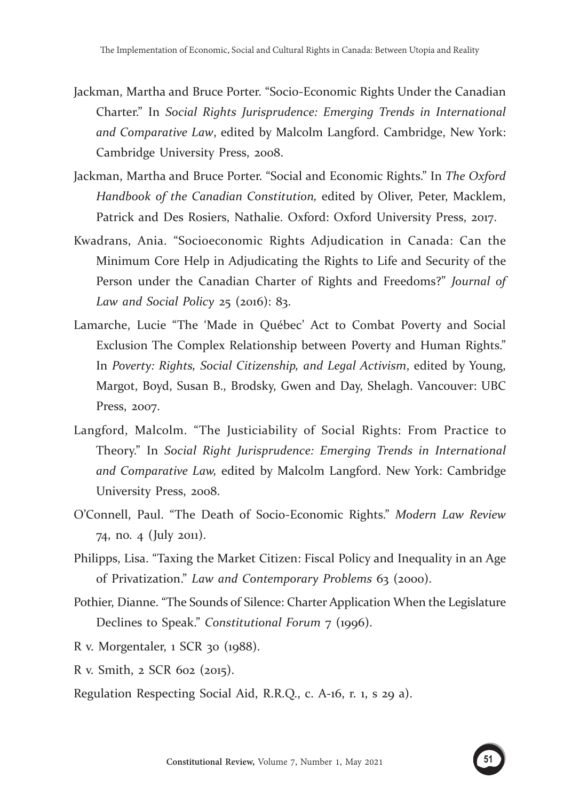- Jackman, Martha and Bruce Porter. "Socio-Economic Rights Under the Canadian Charter." In *Social Rights Jurisprudence: Emerging Trends in International and Comparative Law*, edited by Malcolm Langford. Cambridge, New York: Cambridge University Press, 2008.
- Jackman, Martha and Bruce Porter. "Social and Economic Rights." In *The Oxford Handbook of the Canadian Constitution,* edited by Oliver, Peter, Macklem, Patrick and Des Rosiers, Nathalie. Oxford: Oxford University Press, 2017.
- Kwadrans, Ania. "Socioeconomic Rights Adjudication in Canada: Can the Minimum Core Help in Adjudicating the Rights to Life and Security of the Person under the Canadian Charter of Rights and Freedoms?" *Journal of Law and Social Policy* 25 (2016): 83.
- Lamarche, Lucie "The 'Made in Québec' Act to Combat Poverty and Social Exclusion The Complex Relationship between Poverty and Human Rights." In *Poverty: Rights, Social Citizenship, and Legal Activism*, edited by Young, Margot, Boyd, Susan B., Brodsky, Gwen and Day, Shelagh. Vancouver: UBC Press, 2007.
- Langford, Malcolm. "The Justiciability of Social Rights: From Practice to Theory." In *Social Right Jurisprudence: Emerging Trends in International and Comparative Law,* edited by Malcolm Langford. New York: Cambridge University Press, 2008.
- O'Connell, Paul. "The Death of Socio-Economic Rights." *Modern Law Review* 74, no. 4 (July 2011).
- Philipps, Lisa. "Taxing the Market Citizen: Fiscal Policy and Inequality in an Age of Privatization." *Law and Contemporary Problems* 63 (2000).
- Pothier, Dianne. "The Sounds of Silence: Charter Application When the Legislature Declines to Speak." *Constitutional Forum* 7 (1996).
- R v. Morgentaler, 1 SCR 30 (1988).
- R v. Smith, 2 SCR 602 (2015).
- Regulation Respecting Social Aid, R.R.Q., c. A-16, r. 1, s 29 a).